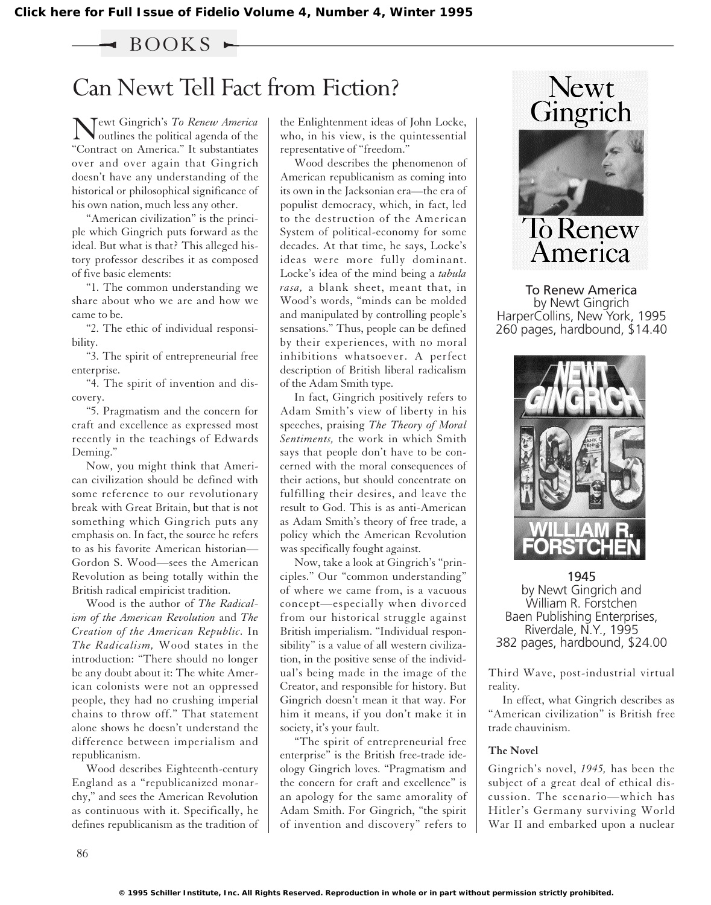## $\triangleleft$  BOOKS  $\blacktriangleright$

## Can Newt Tell Fact from Fiction?

Newt Gingrich's *To Renew America*<br>
outlines the political agenda of the "Contract on America." It substantiates over and over again that Gingrich doesn't have any understanding of the historical or philosophical significance of his own nation, much less any other.

"American civilization" is the principle which Gingrich puts forward as the ideal. But what is that? This alleged history professor describes it as composed of five basic elements:

"1. The common understanding we share about who we are and how we came to be.

"2. The ethic of individual responsibility.

"3. The spirit of entrepreneurial free enterprise.

"4. The spirit of invention and discovery.

"5. Pragmatism and the concern for craft and excellence as expressed most recently in the teachings of Edwards Deming."

Now, you might think that American civilization should be defined with some reference to our revolutionary break with Great Britain, but that is not something which Gingrich puts any emphasis on. In fact, the source he refers to as his favorite American historian— Gordon S. Wood—sees the American Revolution as being totally within the British radical empiricist tradition.

Wood is the author of *The Radicalism of the American Revolution* and *The Creation of the American Republic.* In *The Radicalism,* Wood states in the introduction: "There should no longer be any doubt about it: The white American colonists were not an oppressed people, they had no crushing imperial chains to throw off." That statement alone shows he doesn't understand the difference between imperialism and republicanism.

Wood describes Eighteenth-century England as a "republicanized monarchy," and sees the American Revolution as continuous with it. Specifically, he defines republicanism as the tradition of the Enlightenment ideas of John Locke, who, in his view, is the quintessential representative of "freedom."

Wood describes the phenomenon of American republicanism as coming into its own in the Jacksonian era—the era of populist democracy, which, in fact, led to the destruction of the American System of political-economy for some decades. At that time, he says, Locke's ideas were more fully dominant. Locke's idea of the mind being a *tabula rasa,* a blank sheet, meant that, in Wood's words, "minds can be molded and manipulated by controlling people's sensations." Thus, people can be defined by their experiences, with no moral inhibitions whatsoever. A perfect description of British liberal radicalism of the Adam Smith type.

In fact, Gingrich positively refers to Adam Smith's view of liberty in his speeches, praising *The Theory of Moral Sentiments,* the work in which Smith says that people don't have to be concerned with the moral consequences of their actions, but should concentrate on fulfilling their desires, and leave the result to God. This is as anti-American as Adam Smith's theory of free trade, a policy which the American Revolution was specifically fought against.

Now, take a look at Gingrich's "principles." Our "common understanding" of where we came from, is a vacuous concept—especially when divorced from our historical struggle against British imperialism. "Individual responsibility" is a value of all western civilization, in the positive sense of the individual's being made in the image of the Creator, and responsible for history. But Gingrich doesn't mean it that way. For him it means, if you don't make it in society, it's your fault.

"The spirit of entrepreneurial free enterprise" is the British free-trade ideology Gingrich loves. "Pragmatism and the concern for craft and excellence" is an apology for the same amorality of Adam Smith. For Gingrich, "the spirit of invention and discovery" refers to





To Renew America by Newt Gingrich HarperCollins, New York, 1995 260 pages, hardbound, \$14.40



1945 by Newt Gingrich and William R. Forstchen Baen Publishing Enterprises, Riverdale, N.Y., 1995 382 pages, hardbound, \$24.00

Third Wave, post-industrial virtual reality.

In effect, what Gingrich describes as "American civilization" is British free trade chauvinism.

## **The Novel**

Gingrich's novel, *1945,* has been the subject of a great deal of ethical discussion. The scenario—which has Hitler's Germany surviving World War II and embarked upon a nuclear